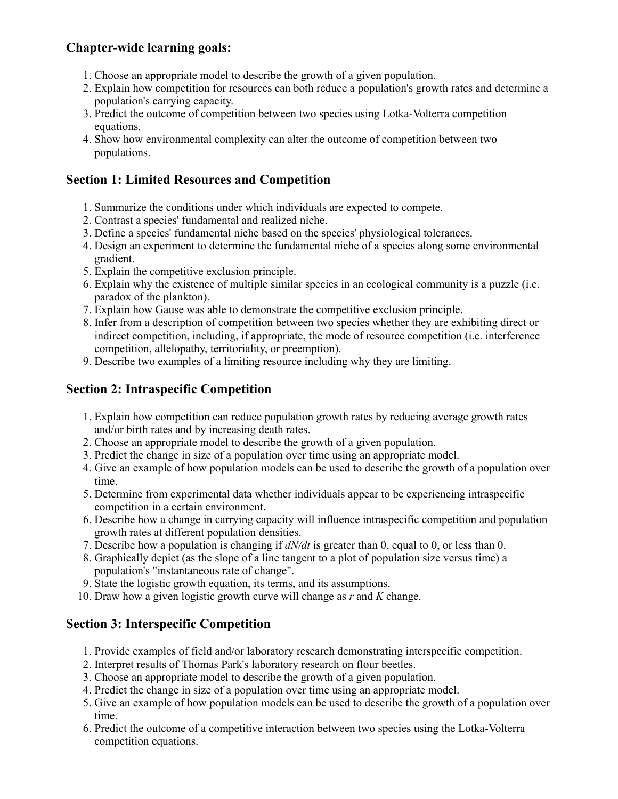# **Chapter-wide learning goals:**

- 1. Choose an appropriate model to describe the growth of a given population.
- 2. Explain how competition for resources can both reduce a population's growth rates and determine a population's carrying capacity.
- 3. Predict the outcome of competition between two species using Lotka-Volterra competition equations.
- 4. Show how environmental complexity can alter the outcome of competition between two populations.

# **Section 1: Limited Resources and Competition**

- 1. Summarize the conditions under which individuals are expected to compete.
- 2. Contrast a species' fundamental and realized niche.
- 3. Define a species' fundamental niche based on the species' physiological tolerances.
- 4. Design an experiment to determine the fundamental niche of a species along some environmental gradient.
- 5. Explain the competitive exclusion principle.
- 6. Explain why the existence of multiple similar species in an ecological community is a puzzle (i.e. paradox of the plankton).
- 7. Explain how Gause was able to demonstrate the competitive exclusion principle.
- 8. Infer from a description of competition between two species whether they are exhibiting direct or indirect competition, including, if appropriate, the mode of resource competition (i.e. interference competition, allelopathy, territoriality, or preemption).
- 9. Describe two examples of a limiting resource including why they are limiting.

## **Section 2: Intraspecific Competition**

- 1. Explain how competition can reduce population growth rates by reducing average growth rates and/or birth rates and by increasing death rates.
- 2. Choose an appropriate model to describe the growth of a given population.
- 3. Predict the change in size of a population over time using an appropriate model.
- 4. Give an example of how population models can be used to describe the growth of a population over time.
- 5. Determine from experimental data whether individuals appear to be experiencing intraspecific competition in a certain environment.
- 6. Describe how a change in carrying capacity will influence intraspecific competition and population growth rates at different population densities.
- 7. Describe how a population is changing if *dN/dt* is greater than 0, equal to 0, or less than 0.
- 8. Graphically depict (as the slope of a line tangent to a plot of population size versus time) a population's "instantaneous rate of change".
- 9. State the logistic growth equation, its terms, and its assumptions.
- 10. Draw how a given logistic growth curve will change as *r* and *K* change.

## **Section 3: Interspecific Competition**

- 1. Provide examples of field and/or laboratory research demonstrating interspecific competition.
- 2. Interpret results of Thomas Park's laboratory research on flour beetles.
- 3. Choose an appropriate model to describe the growth of a given population.
- 4. Predict the change in size of a population over time using an appropriate model.
- 5. Give an example of how population models can be used to describe the growth of a population over time.
- 6. Predict the outcome of a competitive interaction between two species using the Lotka-Volterra competition equations.